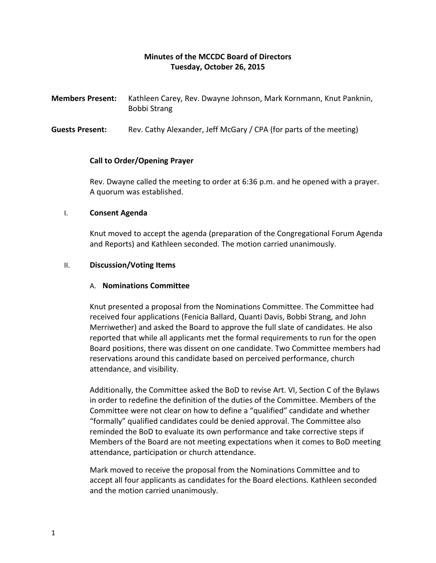# **Minutes of the MCCDC Board of Directors Tuesday, October 26, 2015**

**Members Present:** Kathleen Carey, Rev. Dwayne Johnson, Mark Kornmann, Knut Panknin, Bobbi Strang

**Guests Present:** Rev. Cathy Alexander, Jeff McGary / CPA (for parts of the meeting)

## **Call to Order/Opening Prayer**

Rev. Dwayne called the meeting to order at 6:36 p.m. and he opened with a prayer. A quorum was established.

## I. **Consent Agenda**

Knut moved to accept the agenda (preparation of the Congregational Forum Agenda and Reports) and Kathleen seconded. The motion carried unanimously.

## II. **Discussion/Voting Items**

# A. **Nominations Committee**

Knut presented a proposal from the Nominations Committee. The Committee had received four applications (Fenicia Ballard, Quanti Davis, Bobbi Strang, and John Merriwether) and asked the Board to approve the full slate of candidates. He also reported that while all applicants met the formal requirements to run for the open Board positions, there was dissent on one candidate. Two Committee members had reservations around this candidate based on perceived performance, church attendance, and visibility.

Additionally, the Committee asked the BoD to revise Art. VI, Section C of the Bylaws in order to redefine the definition of the duties of the Committee. Members of the Committee were not clear on how to define a "qualified" candidate and whether "formally" qualified candidates could be denied approval. The Committee also reminded the BoD to evaluate its own performance and take corrective steps if Members of the Board are not meeting expectations when it comes to BoD meeting attendance, participation or church attendance.

Mark moved to receive the proposal from the Nominations Committee and to accept all four applicants as candidates for the Board elections. Kathleen seconded and the motion carried unanimously.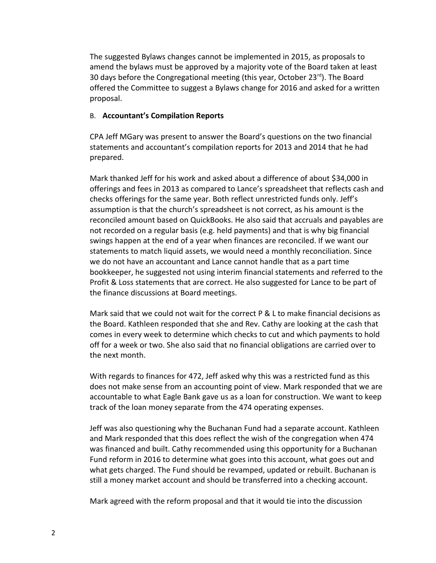The suggested Bylaws changes cannot be implemented in 2015, as proposals to amend the bylaws must be approved by a majority vote of the Board taken at least 30 days before the Congregational meeting (this year, October 23 $^{\text{rd}}$ ). The Board offered the Committee to suggest a Bylaws change for 2016 and asked for a written proposal.

# B. **Accountant's Compilation Reports**

CPA Jeff MGary was present to answer the Board's questions on the two financial statements and accountant's compilation reports for 2013 and 2014 that he had prepared.

Mark thanked Jeff for his work and asked about a difference of about \$34,000 in offerings and fees in 2013 as compared to Lance's spreadsheet that reflects cash and checks offerings for the same year. Both reflect unrestricted funds only. Jeff's assumption is that the church's spreadsheet is not correct, as his amount is the reconciled amount based on QuickBooks. He also said that accruals and payables are not recorded on a regular basis (e.g. held payments) and that is why big financial swings happen at the end of a year when finances are reconciled. If we want our statements to match liquid assets, we would need a monthly reconciliation. Since we do not have an accountant and Lance cannot handle that as a part time bookkeeper, he suggested not using interim financial statements and referred to the Profit & Loss statements that are correct. He also suggested for Lance to be part of the finance discussions at Board meetings.

Mark said that we could not wait for the correct P & L to make financial decisions as the Board. Kathleen responded that she and Rev. Cathy are looking at the cash that comes in every week to determine which checks to cut and which payments to hold off for a week or two. She also said that no financial obligations are carried over to the next month.

With regards to finances for 472, Jeff asked why this was a restricted fund as this does not make sense from an accounting point of view. Mark responded that we are accountable to what Eagle Bank gave us as a loan for construction. We want to keep track of the loan money separate from the 474 operating expenses.

Jeff was also questioning why the Buchanan Fund had a separate account. Kathleen and Mark responded that this does reflect the wish of the congregation when 474 was financed and built. Cathy recommended using this opportunity for a Buchanan Fund reform in 2016 to determine what goes into this account, what goes out and what gets charged. The Fund should be revamped, updated or rebuilt. Buchanan is still a money market account and should be transferred into a checking account.

Mark agreed with the reform proposal and that it would tie into the discussion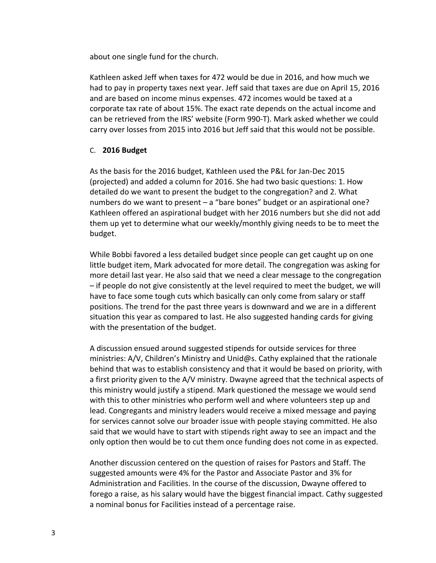about one single fund for the church.

Kathleen asked Jeff when taxes for 472 would be due in 2016, and how much we had to pay in property taxes next year. Jeff said that taxes are due on April 15, 2016 and are based on income minus expenses. 472 incomes would be taxed at a corporate tax rate of about 15%. The exact rate depends on the actual income and can be retrieved from the IRS' website (Form 990-T). Mark asked whether we could carry over losses from 2015 into 2016 but Jeff said that this would not be possible.

# C. **2016 Budget**

As the basis for the 2016 budget, Kathleen used the P&L for Jan-Dec 2015 (projected) and added a column for 2016. She had two basic questions: 1. How detailed do we want to present the budget to the congregation? and 2. What numbers do we want to present – a "bare bones" budget or an aspirational one? Kathleen offered an aspirational budget with her 2016 numbers but she did not add them up yet to determine what our weekly/monthly giving needs to be to meet the budget.

While Bobbi favored a less detailed budget since people can get caught up on one little budget item, Mark advocated for more detail. The congregation was asking for more detail last year. He also said that we need a clear message to the congregation – if people do not give consistently at the level required to meet the budget, we will have to face some tough cuts which basically can only come from salary or staff positions. The trend for the past three years is downward and we are in a different situation this year as compared to last. He also suggested handing cards for giving with the presentation of the budget.

A discussion ensued around suggested stipends for outside services for three ministries: A/V, Children's Ministry and Unid@s. Cathy explained that the rationale behind that was to establish consistency and that it would be based on priority, with a first priority given to the A/V ministry. Dwayne agreed that the technical aspects of this ministry would justify a stipend. Mark questioned the message we would send with this to other ministries who perform well and where volunteers step up and lead. Congregants and ministry leaders would receive a mixed message and paying for services cannot solve our broader issue with people staying committed. He also said that we would have to start with stipends right away to see an impact and the only option then would be to cut them once funding does not come in as expected.

Another discussion centered on the question of raises for Pastors and Staff. The suggested amounts were 4% for the Pastor and Associate Pastor and 3% for Administration and Facilities. In the course of the discussion, Dwayne offered to forego a raise, as his salary would have the biggest financial impact. Cathy suggested a nominal bonus for Facilities instead of a percentage raise.